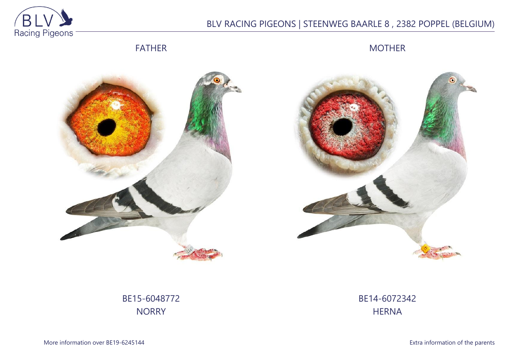

## BLV RACING PIGEONS | STEENWEG BAARLE 8 , 2382 POPPEL (BELGIUM)

FATHER

MOTHER





BE15-6048772 **NORRY** 

BE14-6072342 **HERNA**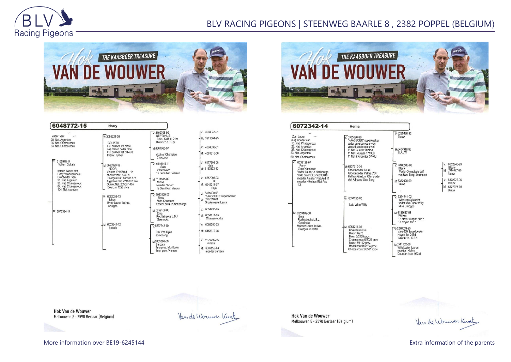

## BLV RACING PIGEONS | STEENWEG BAARLE 8 , 2382 POPPEL (BELGIUM)



| 6048772-15                                                                                    | Norry                                                                                                                                         |                                                                                                                            |                                                                         |
|-----------------------------------------------------------------------------------------------|-----------------------------------------------------------------------------------------------------------------------------------------------|----------------------------------------------------------------------------------------------------------------------------|-------------------------------------------------------------------------|
| Vader van:<br>28. Nat. Argenton<br>36. Nat. Chateauroux<br>64. Nat. Chateauroux<br>3155978-14 | $\sqrt{3095224.09}$<br><b>GOLIATH</b><br>Full brother 2n place<br>one million dollar race<br>Full brother 1st prTours<br><b>Father Fyther</b> | $V.3199708-99$<br><b>NEPTUNUS</b><br>Blois 1345 d 21pr<br>Blois 581d 10 pr<br>M:4361085-07<br>dochter Champion<br>Checquer | V: 3204047-91<br>M: 3211364-95<br>V: 4094638-01<br>M: 4081816-06        |
| Vuilen Goliath<br>samen kweek met<br>Gaby Vandenabeele<br>Grootvader van:                     | M: 6023320-12<br><b>NOOR</b><br>Vierzon IP 9950 d 1e<br>snelste van 15359 d                                                                   | $V: 6119144-11$<br>Sam<br>Vader Noor<br>1e Semi Nat. Vierzon                                                               | V: 6177698-08<br><b>Niels</b><br>M: 6163823-10<br>$V: 6257098-03$       |
| 28. Nat. Argenton<br>36. Nat. Chateauroux<br>64. Nat. Chateauroux<br>104. Nat. Issoudun       | Bourges Nat. 13588d 17e<br>Argenton Nat. 22463d 117e<br>Gueret Nat. 2656d 146e<br>Dourdan 1228 d 4e                                           | M:6111515-09<br>Minoe<br>Moeder "Noor"<br>1e Semi Nat. Vierzon                                                             | Rik<br>M: 6242318-07<br>Beia                                            |
|                                                                                               | $\nabla 6062058-13$<br>Johan<br>Broer Laura, 1e Nat.<br><b>Bourges</b>                                                                        | $\overline{V}$ 6033129-07<br>Rony<br>Zoon Kaasboer<br>Vader Laura, 1e Nat.bourge                                           | V: 6335690-98<br>"KAASBOER" super<br>M: 6307210-04<br>Grootmoeder Laura |
| M: 6072394-14                                                                                 |                                                                                                                                               | M:6259169-08<br>Ema<br>Rechtstreeks L.B.J.<br>Geerinckx                                                                    | $V: 6054295-05$<br>M: 6054214-05<br>Chateaurouxke                       |
|                                                                                               | M: 6023341-12<br>Natalie                                                                                                                      | $\nabla 6297742 - 10$                                                                                                      | V: 6086300-03                                                           |
|                                                                                               |                                                                                                                                               | Dirk Van Dyck<br>zomerjong                                                                                                 | M: 6453372-05                                                           |
|                                                                                               |                                                                                                                                               | M-2035886-09<br>Barbara                                                                                                    | V: 2079799-05<br>Polleke                                                |
|                                                                                               |                                                                                                                                               | 1ste prov. Montlucon<br>1ste prov. Vierzon                                                                                 | M: 6307259-04<br>moeder Barbara                                         |

|    | M: 3211364-95                       |
|----|-------------------------------------|
|    | V: 4094638-01                       |
|    | M: 4081816-06                       |
|    | V: 6177698-08                       |
|    | Niels<br>M: 6163823-10              |
|    | $V: 6257098-03$<br>Rik              |
|    | M: 6242318-07<br>Beja               |
| V. | 6335690-98<br>"KAASBOER" superkweke |
| M: | 6307210-04<br>Grootmoeder Laura     |
|    | $\frac{1}{2}$ 6054295-05            |
|    | M: 6054214-05<br>Chateaurouxke      |
| V٠ | 6086300-03                          |
|    | M: 6453372-05                       |
|    | $1: 2079799-05$<br>Polleke          |
|    | M: 6307259-04                       |



| 6072342-14                                                                                                                                                  | Herna                                                                                                                                                                                |                                                                                                                                                                                                                                  |                                                                                                      |
|-------------------------------------------------------------------------------------------------------------------------------------------------------------|--------------------------------------------------------------------------------------------------------------------------------------------------------------------------------------|----------------------------------------------------------------------------------------------------------------------------------------------------------------------------------------------------------------------------------|------------------------------------------------------------------------------------------------------|
| Zus Laura<br>(Gr) moeder van<br>10. Nat. Chateauroux<br>28. Nat. Argenton<br>36. Nat. Chateauroux<br>53. Nat. Argenton<br>60. Nat. Chateauroux              | $V: 6335690-98$<br>"KAASBOER" superkweker<br>vader en grootvader van<br>verschillende topduiven<br>1° Nat Gueret 14245d<br>1° Nat Bourges 17138d<br>1° Nat Z Argenton 3740d          | $V: 6235626-92$<br>Blauw<br>M:6404318-96<br><b>BLAUW</b>                                                                                                                                                                         |                                                                                                      |
| 6033129-07<br>Rony<br>Zoon Kaasboer<br>Vader Laura, 1e Nat.bourge<br>Volle broer BE07-6033018<br>moeder Amalia 1Nat Asd 11<br>moeder Nikolaas1Nat Asd<br>13 | M: 6307210-04<br>Grootmoeder Laura<br>Grootmoeder Palme d'Or<br>Halfzus Gaston, Olympiade<br>duif Allround Uwe Berg                                                                  | $V: 6480508-00$<br>Blauw<br>Vader Olympiade duif<br>van Uwe Berg -Dortmund<br>M-6352928-99<br>Blauw                                                                                                                              | V: 6352940-99<br>Blauw<br>M: 6314427-98<br>Bluaw<br>V: 6372272-95<br>Blauw<br>M: 6427974-98<br>Blauw |
|                                                                                                                                                             | 6054295-05<br>V.<br>Late Witte Willy                                                                                                                                                 | $\overline{V}$ 6354241-02<br>Wittekop Sylvester<br>vader van Super Willy<br>Miss Limoges                                                                                                                                         |                                                                                                      |
| M: 6259169-08<br>Erna<br>Rechtstreeks L.B.J.<br>Geerinckx<br>Moeder Laura 1e Nat.<br>Bourges in 2010                                                        | M: 6054214-05<br>Chateaurouxke<br><b>Blois 1/627d</b><br>Blois 2/2135 prov.<br>Chateauroux 6/2024 prov<br>Blois 13/1112 prov.<br>Montlucon 91/2264 prov.<br>Chateauroux 2/3391 iprov | M:6185637-98<br>Willyke<br>1e prov.Bourges 605 d<br>1e Noyon 156 d<br>$\sqrt{6278009-95}$<br>Vale 009 Superkweker<br>Noyon 1e 245d<br>Noyon 1e 172 d<br>M6541152-00<br>Wittekopje ijzeren<br>moeder Kleine<br>Dourdan 1ste 953 d |                                                                                                      |

**Hok Van de Wouwer** Melkouwen 8 - 2590 Berlaar (Belgium)

Van de Wouwer Knot

**Hok Van de Wouwer** Melkouwen 8 - 2590 Berlaar (Belgium)

Van de Wouwer Kurt

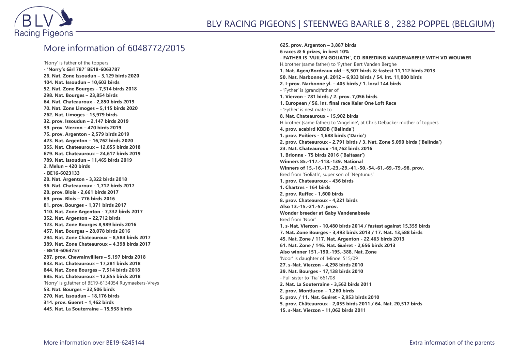

## More information of 6048772/2015

'Norry' is father of the toppers **- 'Norry's Girl 787' BE18-6063787 26. Nat. Zone Issoudun – 3,129 birds 2020 104. Nat. Issoudun – 10,603 birds 52. Nat. Zone Bourges - 7,514 birds 2018 298. Nat. Bourges – 23,854 birds 64. Nat. Chateauroux - 2,850 birds 2019 70. Nat. Zone Limoges – 5,115 birds 2020 262. Nat. Limoges - 15,979 birds 32. prov. Issoudun – 2,147 birds 2019 39. prov. Vierzon – 470 birds 2019 75. prov. Argenton - 2,579 birds 2019 423. Nat. Argenton – 16,762 birds 2020 355. Nat. Chateauroux – 12,855 birds 2018 679. Nat. Chateauroux – 24,617 birds 2019 789. Nat. Issoudun – 11,465 birds 2019 2. Melun – 420 birds - BE16-6023133 28. Nat. Argenton - 3,322 birds 2018 36. Nat. Chateauroux - 1,712 birds 2017 28. prov. Blois - 2,661 birds 2017 69. prov. Blois – 776 birds 2016 81. prov. Bourges - 1,371 birds 2017 110. Nat. Zone Argenton - 7,332 birds 2017 352. Nat. Argenton – 22,712 birds 123. Nat. Zone Bourges 8,989 birds 2016 457. Nat. Bourges – 28,078 birds 2016 294. Nat. Zone Chateauroux – 8,584 birds 2017 389. Nat. Zone Chateauroux – 4,398 birds 2017 - BE18-6063757 287. prov. Chevrainvilliers – 5,197 birds 2018 833. Nat. Chateauroux – 17,281 birds 2018 844. Nat. Zone Bourges – 7,514 birds 2018 885. Nat. Chateauroux – 12,855 birds 2018** 'Norry' is g.father of BE19-6134054 Ruymaekers-Vreys **53. Nat. Bourges – 22,506 birds 270. Nat. Issoudun – 18,176 birds 314. prov. Gueret – 1,462 birds 445. Nat. La Souterraine – 15,938 birds**

**625. prov. Argenton – 3,887 birds 6 races & 6 prizes, in best 10% - FATHER IS 'VUILEN GOLIATH', CO-BREEDING VANDENABEELE WITH VD WOUWER** H.brother (same father) to 'Fyther' Bert Vanden Berghe **1. Nat. Agen/Bordeaux old – 5,507 birds & fastest 11,112 birds 2013 50. Nat. Narbonne yl. 2012 – 6,933 birds / 54. Int. 11,000 birds 2. I-prov. Narbonne yl. – 405 birds / 1. local 144 birds** - 'Fyther' is (grand)father of **1. Vierzon - 781 birds / 2. prov. 7,056 birds 1. European / 56. Int. final race Kaier One Loft Race** - 'Fyther' is nest mate to **8. Nat. Chateauroux - 15,902 birds** H.brother (same father) to 'Angeline', at Chris Debacker mother of toppers **4. prov. acebird KBDB ('Belinda') 1. prov. Poitiers - 1,688 birds ('Dario') 2. prov. Chateauroux - 2,791 birds / 3. Nat. Zone 5,090 birds ('Belinda') 23. Nat. Chateauroux -14,762 birds 2016 1. Brionne - 75 birds 2016 ('Baltasar') Winners 85.-117.-118.-139. National Winners of 15.-16.-17.-23.-29.-41.-50.-54.-61.-69.-79.-98. prov.** Bred from 'Goliath', super son of 'Neptunus' **1. prov. Chateauroux - 436 birds 1. Chartres - 164 birds 2. prov. Ruffec - 1,600 birds 8. prov. Chateauroux - 4,221 birds Also 13.-15.-21.-57. prov. Wonder breeder at Gaby Vandenabeele** Bred from 'Noor' **1. s-Nat. Vierzon - 10,480 birds 2014 / fastest against 15,359 birds 7. Nat. Zone Bourges - 3,493 birds 2013 / 17. Nat. 13,588 birds 45. Nat. Zone / 117. Nat. Argenton - 22,463 birds 2013 61. Nat. Zone / 146. Nat. Guéret - 2,656 birds 2013 Also winner 151.-190.-195.-388. Nat. Zone** 'Noor' is daughter of 'Minoe' 515/09 **27. s-Nat. Vierzon - 4,298 birds 2010 39. Nat. Bourges - 17,138 birds 2010** - Full sister to 'Tia' 661/08 **2. Nat. La Souterraine - 3,562 birds 2011 2. prov. Montlucon – 1,260 birds 5. prov. / 11. Nat. Guéret - 2,953 birds 2010 5. prov. Châteauroux - 2,055 birds 2011 / 64. Nat. 20,517 birds 15. s-Nat. Vierzon - 11,062 birds 2011**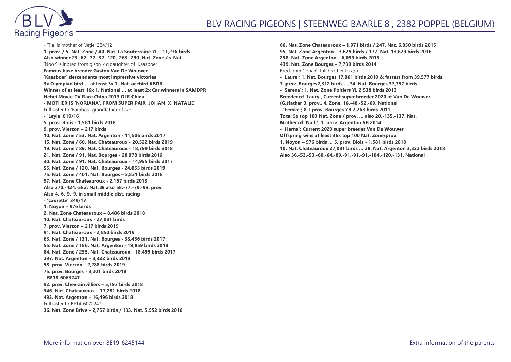

- 'Tia' is mother of 'Jetje' 284/12 **1. prov. / 5. Nat. Zone / 40. Nat. La Souterraine YL - 11,236 birds Also winner 23.-67.-72.-82.-120.-263.-290. Nat. Zone / s-Nat.** 'Noor' is inbred from g.son x g.daughter of 'Kaasboer' **Famous base breeder Gaston Van De Wouwer 'Kaasboer' descendants most impressive victories 3x Olympiad bird … at least 3x 1. Nat. acebird KBDB Winner of at least 16x 1. National … at least 2x Car winners in SAMDPR Hebei Movie-TV Race China 2013 OLR China - MOTHER IS 'NORIANA', FROM SUPER PAIR 'JOHAN' X 'NATALIE'** Full sister to 'Barabas', grandfather of a/o **- 'Leyla' 019/16 5. prov. Blois - 1,581 birds 2018 9. prov. Vierzon – 217 birds 10. Nat. Zone / 53. Nat. Argenton - 11,506 birds 2017 15. Nat. Zone / 60. Nat. Chateauroux - 20,522 birds 2019 19. Nat. Zone / 89. Nat. Chateauroux - 18,799 birds 2018 21. Nat. Zone / 91. Nat. Bourges - 28,078 birds 2016 30. Nat. Zone / 91. Nat. Chateauroux - 14,955 birds 2017 55. Nat. Zone / 120. Nat. Bourges - 24,055 birds 2019 75. Nat. Zone / 401. Nat. Bourges – 5,831 birds 2018 97. Nat. Zone Chateauroux - 2,157 birds 2018 Also 370.-424.-582. Nat. & also 58.-77.-79.-98. prov. Also 4.-6.-9.-9. in small middle dist. racing - 'Laurette' 349/17 1. Noyon – 976 birds 2. Nat. Zone Chateauroux – 8,486 birds 2018 10. Nat. Chateauroux - 27,081 birds 7. prov. Vierzon – 217 birds 2019 91. Nat. Chateauroux - 2,850 birds 2019 63. Nat. Zone / 131. Nat. Bourges - 38,456 birds 2017 55. Nat. Zone / 186. Nat. Argenton - 19,859 birds 2018 84. Nat. Zone / 255. Nat. Chateauroux - 18,499 birds 2017 297. Nat. Argenton – 3,322 birds 2018 58. prov. Vierzon - 2,288 birds 2019 75. prov. Bourges - 3,201 birds 2018 - BE18-6063747 92. prov. Chevrainvilliers – 5,197 birds 2018 346. Nat. Chateauroux – 17,281 birds 2018 493. Nat. Argenton – 16,496 birds 2018** Full sister to BE14-6072247 **36. Nat. Zone Brive – 2,757 birds / 133. Nat. 5,952 birds 2016**

**66. Nat. Zone Chateauroux – 1,971 birds / 247. Nat. 6,850 birds 2015 95. Nat. Zone Argenton – 3,629 birds / 177. Nat. 13,629 birds 2016 258. Nat. Zone Argenton – 6,099 birds 2015 439. Nat. Zone Bourges – 7,739 birds 2014** Bred from 'Johan', full brother to a/o **- 'Laura'; 1. Nat. Bourges 17,061 birds 2010 & fastest from 39,577 birds 7. prov. Bourges2,312 birds … 74. Nat. Bourges 37,357 birds - 'Serena'; 1. Nat. Zone Poitiers YL 2,538 birds 2013 Breeder of 'Laury', Current super breeder 2020 at Van De Wouwer (G.)father 3. prov., 4. Zone, 16.-48.-52.-69. National - 'Femke'; 8. I.prov. Bourges YB 2,263 birds 2011 Total 5x top 100 Nat. Zone / prov. … also 20.-135.-137. Nat. Mother of 'Na fi', 1. prov. Argenton YB 2014 - 'Herna'; Current 2020 super breeder Van De Wouwer Offspring wins at least 36x top 100 Nat. Zone/prov. 1. Noyon – 976 birds … 5. prov. Blois - 1,581 birds 2018 10. Nat. Chateauroux 27,081 birds … 28. Nat. Argenton 3,322 birds 2018 Also 36.-53.-53.-60.-64.-89.-91.-91.-91.-104.-120.-131. National**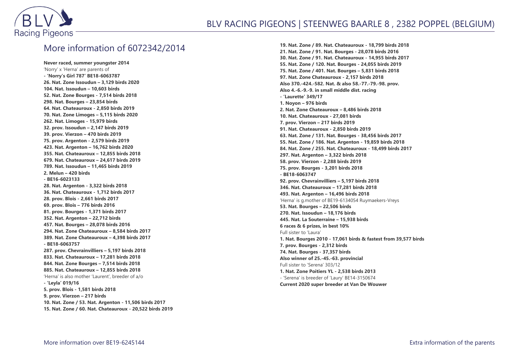

## More information of 6072342/2014

**Never raced, summer youngster 2014** 'Norry' x 'Herna' are parents of **- 'Norry's Girl 787' BE18-6063787 26. Nat. Zone Issoudun – 3,129 birds 2020 104. Nat. Issoudun – 10,603 birds 52. Nat. Zone Bourges - 7,514 birds 2018 298. Nat. Bourges – 23,854 birds 64. Nat. Chateauroux - 2,850 birds 2019 70. Nat. Zone Limoges – 5,115 birds 2020 262. Nat. Limoges - 15,979 birds 32. prov. Issoudun – 2,147 birds 2019 39. prov. Vierzon – 470 birds 2019 75. prov. Argenton - 2,579 birds 2019 423. Nat. Argenton – 16,762 birds 2020 355. Nat. Chateauroux – 12,855 birds 2018 679. Nat. Chateauroux – 24,617 birds 2019 789. Nat. Issoudun – 11,465 birds 2019 2. Melun – 420 birds - BE16-6023133 28. Nat. Argenton - 3,322 birds 2018 36. Nat. Chateauroux - 1,712 birds 2017 28. prov. Blois - 2,661 birds 2017 69. prov. Blois – 776 birds 2016 81. prov. Bourges - 1,371 birds 2017 352. Nat. Argenton – 22,712 birds 457. Nat. Bourges – 28,078 birds 2016 294. Nat. Zone Chateauroux – 8,584 birds 2017 389. Nat. Zone Chateauroux – 4,398 birds 2017 - BE18-6063757 287. prov. Chevrainvilliers – 5,197 birds 2018 833. Nat. Chateauroux – 17,281 birds 2018 844. Nat. Zone Bourges – 7,514 birds 2018 885. Nat. Chateauroux – 12,855 birds 2018** 'Herna' is also mother 'Laurent', breeder of a/o **- 'Leyla' 019/16 5. prov. Blois - 1,581 birds 2018 9. prov. Vierzon – 217 birds 10. Nat. Zone / 53. Nat. Argenton - 11,506 birds 2017 15. Nat. Zone / 60. Nat. Chateauroux - 20,522 birds 2019**

**19. Nat. Zone / 89. Nat. Chateauroux - 18,799 birds 2018 21. Nat. Zone / 91. Nat. Bourges - 28,078 birds 2016 30. Nat. Zone / 91. Nat. Chateauroux - 14,955 birds 2017 55. Nat. Zone / 120. Nat. Bourges - 24,055 birds 2019 75. Nat. Zone / 401. Nat. Bourges – 5,831 birds 2018 97. Nat. Zone Chateauroux - 2,157 birds 2018 Also 370.-424.-582. Nat. & also 58.-77.-79.-98. prov. Also 4.-6.-9.-9. in small middle dist. racing - 'Laurette' 349/17 1. Noyon – 976 birds 2. Nat. Zone Chateauroux – 8,486 birds 2018 10. Nat. Chateauroux - 27,081 birds 7. prov. Vierzon – 217 birds 2019 91. Nat. Chateauroux - 2,850 birds 2019 63. Nat. Zone / 131. Nat. Bourges - 38,456 birds 2017 55. Nat. Zone / 186. Nat. Argenton - 19,859 birds 2018 84. Nat. Zone / 255. Nat. Chateauroux - 18,499 birds 2017 297. Nat. Argenton – 3,322 birds 2018 58. prov. Vierzon - 2,288 birds 2019 75. prov. Bourges - 3,201 birds 2018 - BE18-6063747 92. prov. Chevrainvilliers – 5,197 birds 2018 346. Nat. Chateauroux – 17,281 birds 2018 493. Nat. Argenton – 16,496 birds 2018** 'Herna' is g.mother of BE19-6134054 Ruymaekers-Vreys **53. Nat. Bourges – 22,506 birds 270. Nat. Issoudun – 18,176 birds 445. Nat. La Souterraine – 15,938 birds 6 races & 6 prizes, in best 10%** Full sister to 'Laura' **1. Nat. Bourges 2010 - 17,061 birds & fastest from 39,577 birds 7. prov. Bourges - 2,312 birds 74. Nat. Bourges - 37,357 birds Also winner of 25.-45.-63. provincial** Full sister to 'Serena' 303/12 **1. Nat. Zone Poitiers YL - 2,538 birds 2013** - 'Serena' is breeder of 'Laury' BE14-3150674 **Current 2020 super breeder at Van De Wouwer**